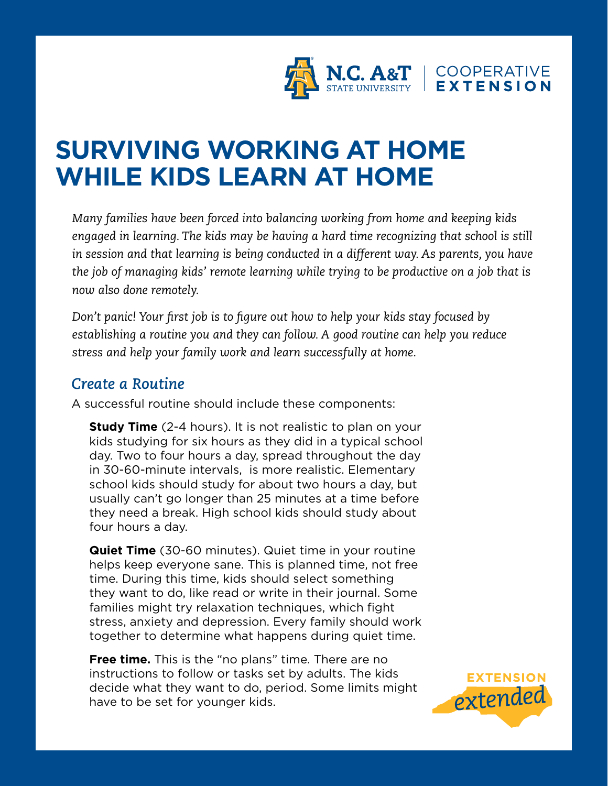

## **SURVIVING WORKING AT HOME WHILE KIDS LEARN AT HOME**

*Many families have been forced into balancing working from home and keeping kids engaged in learning. The kids may be having a hard time recognizing that school is still in session and that learning is being conducted in a different way. As parents, you have the job of managing kids' remote learning while trying to be productive on a job that is now also done remotely.*

*Don't panic! Your first job is to figure out how to help your kids stay focused by establishing a routine you and they can follow. A good routine can help you reduce stress and help your family work and learn successfully at home.* 

## *Create a Routine*

A successful routine should include these components:

**Study Time** (2-4 hours). It is not realistic to plan on your kids studying for six hours as they did in a typical school day. Two to four hours a day, spread throughout the day in 30-60-minute intervals, is more realistic. Elementary school kids should study for about two hours a day, but usually can't go longer than 25 minutes at a time before they need a break. High school kids should study about four hours a day.

**Quiet Time** (30-60 minutes). Quiet time in your routine helps keep everyone sane. This is planned time, not free time. During this time, kids should select something they want to do, like read or write in their journal. Some families might try relaxation techniques, which fight stress, anxiety and depression. Every family should work together to determine what happens during quiet time.

**Free time.** This is the "no plans" time. There are no instructions to follow or tasks set by adults. The kids decide what they want to do, period. Some limits might have to be set for younger kids.

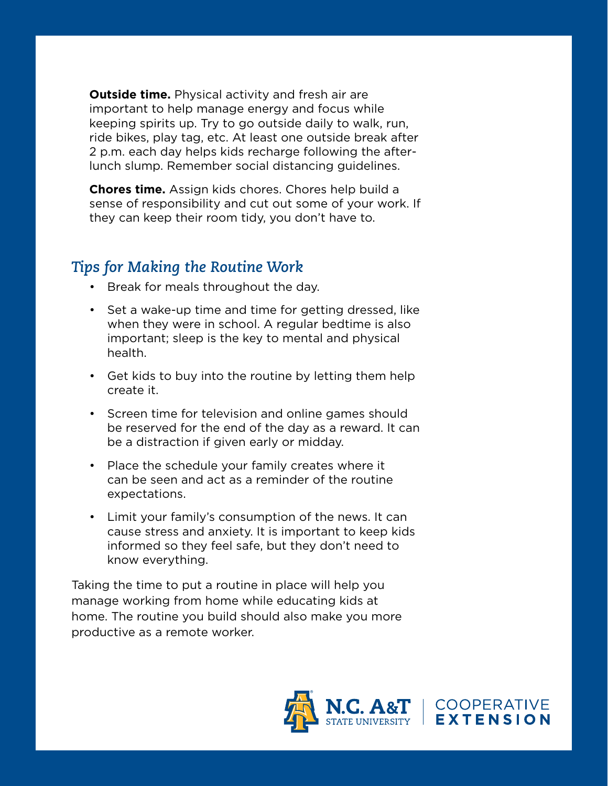**Outside time.** Physical activity and fresh air are important to help manage energy and focus while keeping spirits up. Try to go outside daily to walk, run, ride bikes, play tag, etc. At least one outside break after 2 p.m. each day helps kids recharge following the afterlunch slump. Remember social distancing guidelines.

**Chores time.** Assign kids chores. Chores help build a sense of responsibility and cut out some of your work. If they can keep their room tidy, you don't have to.

## *Tips for Making the Routine Work*

- Break for meals throughout the day.
- Set a wake-up time and time for getting dressed, like when they were in school. A regular bedtime is also important; sleep is the key to mental and physical health.
- Get kids to buy into the routine by letting them help create it.
- Screen time for television and online games should be reserved for the end of the day as a reward. It can be a distraction if given early or midday.
- Place the schedule your family creates where it can be seen and act as a reminder of the routine expectations.
- Limit your family's consumption of the news. It can cause stress and anxiety. It is important to keep kids informed so they feel safe, but they don't need to know everything.

Taking the time to put a routine in place will help you manage working from home while educating kids at home. The routine you build should also make you more productive as a remote worker.